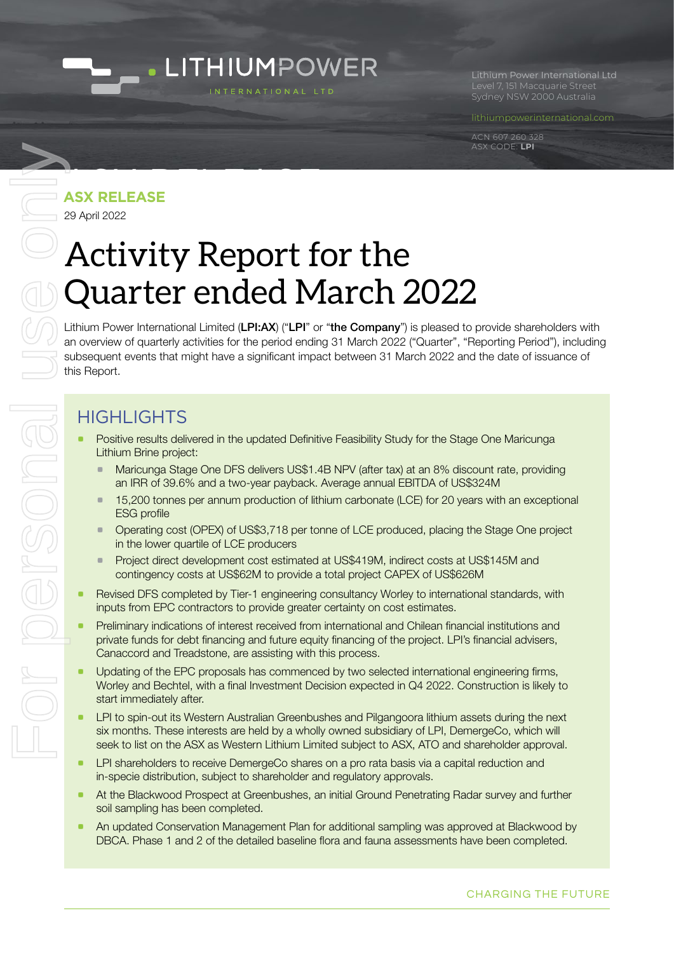

Level 7, 151 Macquarie Street Sydney NSW 2000 Australia

[lithiumpowerinternational.com](http://lithiumpowerinternational.com
)

ACN 607 260 328 ASX CODE: **LPI**

# ASX RELEASE **ASX RELEASE**

29 April 2022

### Activity Report for the Quarter ended March 2022

Lithium Power International Limited (LPI:AX) ("LPI" or "the Company") is pleased to provide shareholders with an overview of quarterly activities for the period ending 31 March 2022 ("Quarter", "Reporting Period"), including subsequent events that might have a significant impact between 31 March 2022 and the date of issuance of this Report.

#### HIGHI IGHTS

- Positive results delivered in the updated Definitive Feasibility Study for the Stage One Maricunga Lithium Brine project:
	- Maricunga Stage One DFS delivers US\$1.4B NPV (after tax) at an 8% discount rate, providing an IRR of 39.6% and a two-year payback. Average annual EBITDA of US\$324M
	- **15,200 tonnes per annum production of lithium carbonate (LCE) for 20 years with an exceptional** ESG profile
	- a Operating cost (OPEX) of US\$3,718 per tonne of LCE produced, placing the Stage One project in the lower quartile of LCE producers
	- **•** Project direct development cost estimated at US\$419M, indirect costs at US\$145M and contingency costs at US\$62M to provide a total project CAPEX of US\$626M
- Revised DFS completed by Tier-1 engineering consultancy Worley to international standards, with inputs from EPC contractors to provide greater certainty on cost estimates.
- Preliminary indications of interest received from international and Chilean financial institutions and private funds for debt financing and future equity financing of the project. LPI's financial advisers, Canaccord and Treadstone, are assisting with this process.
- Updating of the EPC proposals has commenced by two selected international engineering firms, Worley and Bechtel, with a final Investment Decision expected in Q4 2022. Construction is likely to start immediately after.
- LPI to spin-out its Western Australian Greenbushes and Pilgangoora lithium assets during the next six months. These interests are held by a wholly owned subsidiary of LPI, DemergeCo, which will seek to list on the ASX as Western Lithium Limited subject to ASX, ATO and shareholder approval.
- LPI shareholders to receive DemergeCo shares on a pro rata basis via a capital reduction and in-specie distribution, subject to shareholder and regulatory approvals.
- a At the Blackwood Prospect at Greenbushes, an initial Ground Penetrating Radar survey and further soil sampling has been completed.
- An updated Conservation Management Plan for additional sampling was approved at Blackwood by DBCA. Phase 1 and 2 of the detailed baseline flora and fauna assessments have been completed.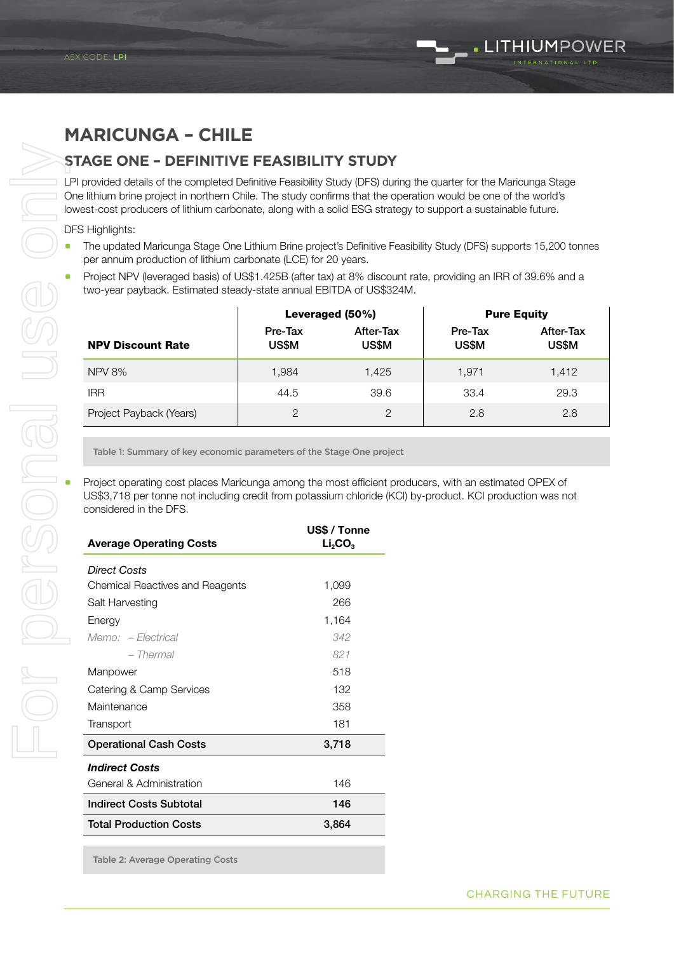#### **MARICUNGA – CHILE**

ASX RELEASE

#### **STAGE ONE – DEFINITIVE FEASIBILITY STUDY**

LPI provided details of the completed Definitive Feasibility Study (DFS) during the quarter for the Maricunga Stage One lithium brine project in northern Chile. The study confirms that the operation would be one of the world's lowest-cost producers of lithium carbonate, along with a solid ESG strategy to support a sustainable future.

DFS Highlights:

- a The updated Maricunga Stage One Lithium Brine project's Definitive Feasibility Study (DFS) supports 15,200 tonnes per annum production of lithium carbonate (LCE) for 20 years.
- Project NPV (leveraged basis) of US\$1.425B (after tax) at 8% discount rate, providing an IRR of 39.6% and a two-year payback. Estimated steady-state annual EBITDA of US\$324M.

|                          |                  | Leveraged (50%)    | <b>Pure Equity</b> |                    |  |
|--------------------------|------------------|--------------------|--------------------|--------------------|--|
| <b>NPV Discount Rate</b> | Pre-Tax<br>US\$M | After-Tax<br>US\$M | Pre-Tax<br>US\$M   | After-Tax<br>US\$M |  |
| <b>NPV 8%</b>            | 1,984            | 1,425              | 1.971              | 1,412              |  |
| <b>IRR</b>               | 44.5             | 39.6               | 33.4               | 29.3               |  |
| Project Payback (Years)  | 2                | $\overline{2}$     | 2.8                | 2.8                |  |

| $INTVO$ $70$                                                                                                                                                                                                                               | 1,YO4                                                                | 1,4ZJ                                           |              | 1,911 | 1,4            |  |  |  |
|--------------------------------------------------------------------------------------------------------------------------------------------------------------------------------------------------------------------------------------------|----------------------------------------------------------------------|-------------------------------------------------|--------------|-------|----------------|--|--|--|
| <b>IRR</b>                                                                                                                                                                                                                                 | 44.5                                                                 | 39.6                                            |              | 33.4  | 29             |  |  |  |
| Project Payback (Years)                                                                                                                                                                                                                    | $\mathbf{2}$                                                         |                                                 | $\mathbf{2}$ | 2.8   | $\overline{2}$ |  |  |  |
|                                                                                                                                                                                                                                            | Table 1: Summary of key economic parameters of the Stage One project |                                                 |              |       |                |  |  |  |
| Project operating cost places Maricunga among the most efficient producers, with an estimated OPEX of<br>US\$3,718 per tonne not including credit from potassium chloride (KCI) by-product. KCI production was n<br>considered in the DFS. |                                                                      |                                                 |              |       |                |  |  |  |
| <b>Average Operating Costs</b>                                                                                                                                                                                                             |                                                                      | US\$ / Tonne<br>Li <sub>2</sub> CO <sub>3</sub> |              |       |                |  |  |  |
| <b>Direct Costs</b>                                                                                                                                                                                                                        |                                                                      |                                                 |              |       |                |  |  |  |
| <b>Chemical Reactives and Reagents</b>                                                                                                                                                                                                     |                                                                      | 1,099                                           |              |       |                |  |  |  |
| Salt Harvesting                                                                                                                                                                                                                            | 266                                                                  |                                                 |              |       |                |  |  |  |
| Energy                                                                                                                                                                                                                                     |                                                                      | 1,164                                           |              |       |                |  |  |  |
| Memo: - Electrical                                                                                                                                                                                                                         |                                                                      | 342                                             |              |       |                |  |  |  |
| - Thermal                                                                                                                                                                                                                                  |                                                                      | 821                                             |              |       |                |  |  |  |
| Manpower                                                                                                                                                                                                                                   |                                                                      | 518                                             |              |       |                |  |  |  |
| Catering & Camp Services                                                                                                                                                                                                                   |                                                                      | 132                                             |              |       |                |  |  |  |
| Maintenance                                                                                                                                                                                                                                |                                                                      | 358                                             |              |       |                |  |  |  |
| Transport                                                                                                                                                                                                                                  |                                                                      | 181                                             |              |       |                |  |  |  |
| <b>Operational Cash Costs</b>                                                                                                                                                                                                              |                                                                      | 3,718                                           |              |       |                |  |  |  |
| <b>Indirect Costs</b>                                                                                                                                                                                                                      |                                                                      |                                                 |              |       |                |  |  |  |
| General & Administration                                                                                                                                                                                                                   |                                                                      | 146                                             |              |       |                |  |  |  |
| <b>Indirect Costs Subtotal</b>                                                                                                                                                                                                             |                                                                      | 146                                             |              |       |                |  |  |  |
| <b>Total Production Costs</b>                                                                                                                                                                                                              |                                                                      | 3,864                                           |              |       |                |  |  |  |

Table 2: Average Operating Costs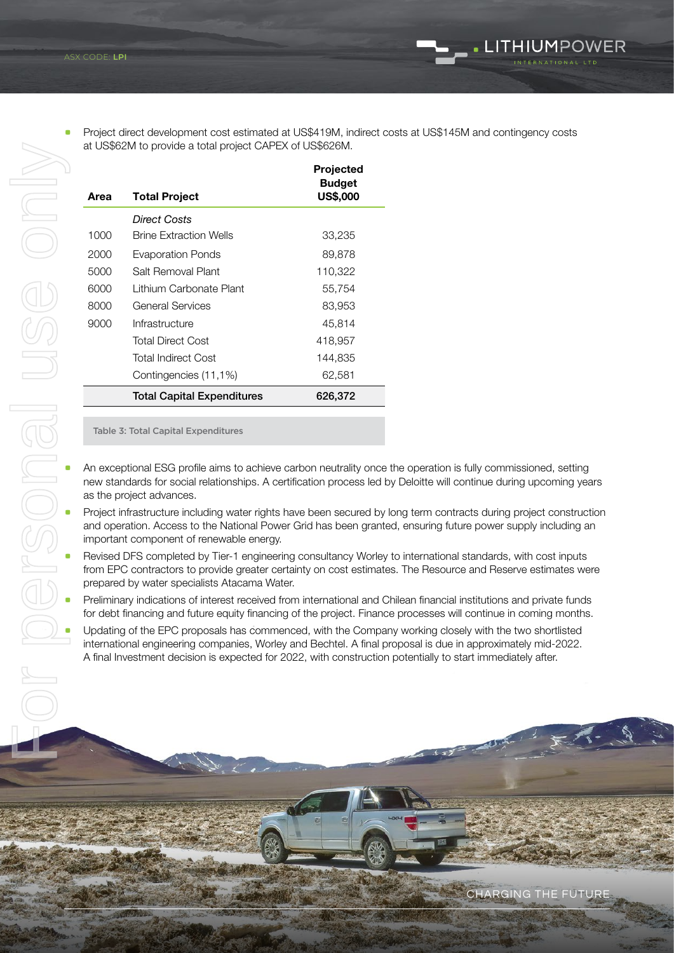a Project direct development cost estimated at US\$419M, indirect costs at US\$145M and contingency costs at US\$62M to provide a total project CAPEX of US\$626M.

. LITHIUMPOWER

| Projected<br><b>US\$,000</b> |
|------------------------------|
|                              |
|                              |
|                              |
|                              |
|                              |
|                              |
|                              |
|                              |
|                              |
|                              |
|                              |
|                              |

Table 3: Total Capital Expenditures

- An exceptional ESG profile aims to achieve carbon neutrality once the operation is fully commissioned, setting new standards for social relationships. A certification process led by Deloitte will continue during upcoming years as the project advances.
- Project infrastructure including water rights have been secured by long term contracts during project construction and operation. Access to the National Power Grid has been granted, ensuring future power supply including an important component of renewable energy.
- Revised DFS completed by Tier-1 engineering consultancy Worley to international standards, with cost inputs from EPC contractors to provide greater certainty on cost estimates. The Resource and Reserve estimates were prepared by water specialists Atacama Water.
- Preliminary indications of interest received from international and Chilean financial institutions and private funds for debt financing and future equity financing of the project. Finance processes will continue in coming months.
- Updating of the EPC proposals has commenced, with the Company working closely with the two shortlisted international engineering companies, Worley and Bechtel. A final proposal is due in approximately mid-2022. A final Investment decision is expected for 2022, with construction potentially to start immediately after.

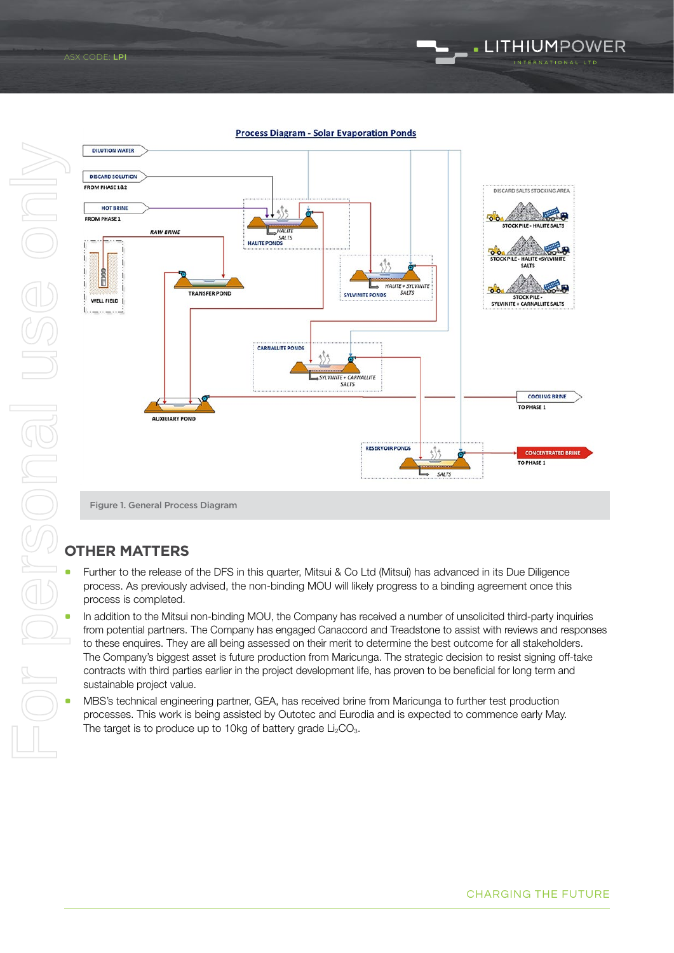## LITHIUMPOWER

**Process Diagram - Solar Evaporation Ponds** 



#### **OTHER MATTERS**

- Further to the release of the DFS in this quarter, Mitsui & Co Ltd (Mitsui) has advanced in its Due Diligence process. As previously advised, the non-binding MOU will likely progress to a binding agreement once this process is completed.
- In addition to the Mitsui non-binding MOU, the Company has received a number of unsolicited third-party inquiries from potential partners. The Company has engaged Canaccord and Treadstone to assist with reviews and responses to these enquires. They are all being assessed on their merit to determine the best outcome for all stakeholders. The Company's biggest asset is future production from Maricunga. The strategic decision to resist signing off-take contracts with third parties earlier in the project development life, has proven to be beneficial for long term and sustainable project value.
- MBS's technical engineering partner, GEA, has received brine from Maricunga to further test production processes. This work is being assisted by Outotec and Eurodia and is expected to commence early May. The target is to produce up to 10kg of battery grade  $Li<sub>2</sub>CO<sub>3</sub>$ .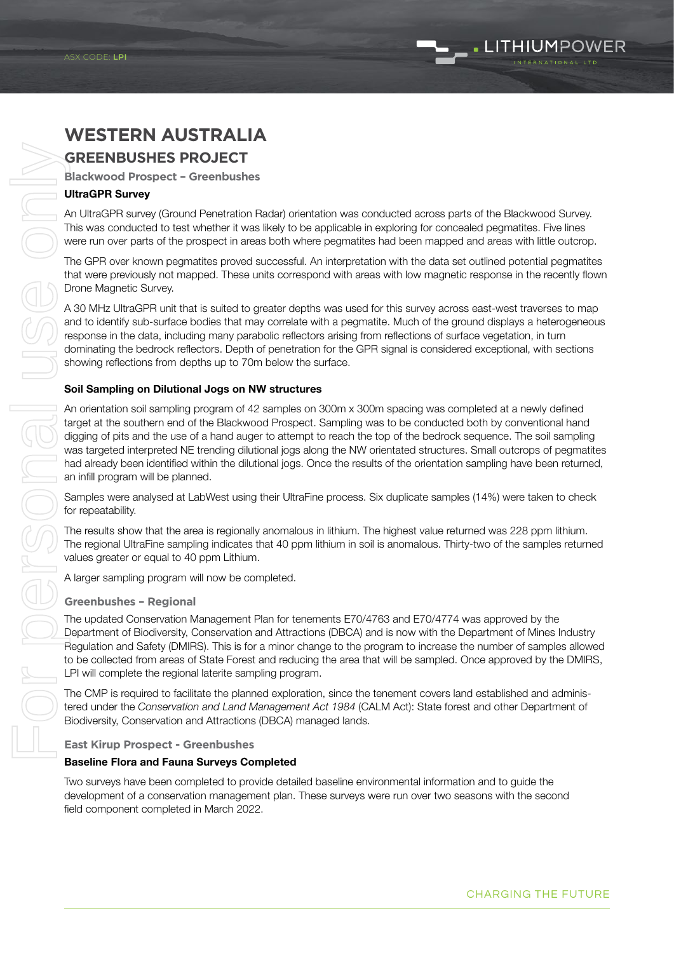### LITHIUMPOWER

### **WESTERN AUSTRALIA**

#### **GREENBUSHES PROJECT**

ASX RELEASE

**Blackwood Prospect – Greenbushes**

#### UltraGPR Survey

An UltraGPR survey (Ground Penetration Radar) orientation was conducted across parts of the Blackwood Survey. This was conducted to test whether it was likely to be applicable in exploring for concealed pegmatites. Five lines were run over parts of the prospect in areas both where pegmatites had been mapped and areas with little outcrop.

The GPR over known pegmatites proved successful. An interpretation with the data set outlined potential pegmatites that were previously not mapped. These units correspond with areas with low magnetic response in the recently flown Drone Magnetic Survey.

A 30 MHz UltraGPR unit that is suited to greater depths was used for this survey across east-west traverses to map and to identify sub-surface bodies that may correlate with a pegmatite. Much of the ground displays a heterogeneous response in the data, including many parabolic reflectors arising from reflections of surface vegetation, in turn dominating the bedrock reflectors. Depth of penetration for the GPR signal is considered exceptional, with sections showing reflections from depths up to 70m below the surface.

#### Soil Sampling on Dilutional Jogs on NW structures

An orientation soil sampling program of 42 samples on 300m x 300m spacing was completed at a newly defined target at the southern end of the Blackwood Prospect. Sampling was to be conducted both by conventional hand digging of pits and the use of a hand auger to attempt to reach the top of the bedrock sequence. The soil sampling was targeted interpreted NE trending dilutional jogs along the NW orientated structures. Small outcrops of pegmatites had already been identified within the dilutional jogs. Once the results of the orientation sampling have been returned, an infill program will be planned.

Samples were analysed at LabWest using their UltraFine process. Six duplicate samples (14%) were taken to check for repeatability.

The results show that the area is regionally anomalous in lithium. The highest value returned was 228 ppm lithium. The regional UltraFine sampling indicates that 40 ppm lithium in soil is anomalous. Thirty-two of the samples returned values greater or equal to 40 ppm Lithium.

A larger sampling program will now be completed.

#### **Greenbushes – Regional**

The updated Conservation Management Plan for tenements E70/4763 and E70/4774 was approved by the Department of Biodiversity, Conservation and Attractions (DBCA) and is now with the Department of Mines Industry Regulation and Safety (DMIRS). This is for a minor change to the program to increase the number of samples allowed to be collected from areas of State Forest and reducing the area that will be sampled. Once approved by the DMIRS, LPI will complete the regional laterite sampling program.

The CMP is required to facilitate the planned exploration, since the tenement covers land established and administered under the *Conservation and Land Management Act 1984* (CALM Act): State forest and other Department of Biodiversity, Conservation and Attractions (DBCA) managed lands.

#### **East Kirup Prospect - Greenbushes**

#### Baseline Flora and Fauna Surveys Completed

Two surveys have been completed to provide detailed baseline environmental information and to guide the development of a conservation management plan. These surveys were run over two seasons with the second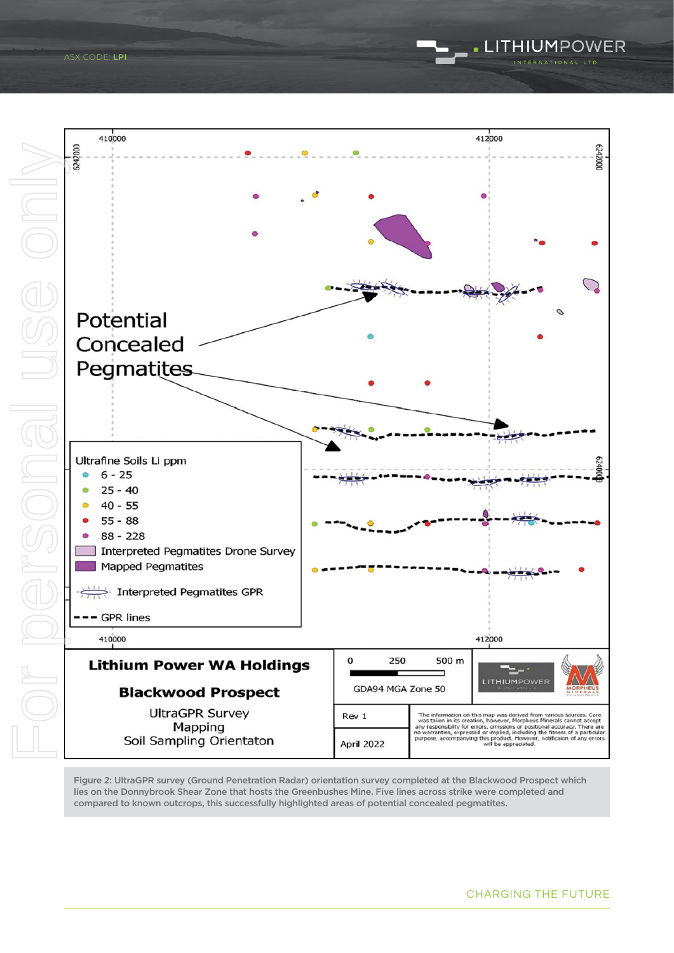

Figure 2: UltraGPR survey (Ground Penetration Radar) orientation survey completed at the Blackwood Prospect which lies on the Donnybrook Shear Zone that hosts the Greenbushes Mine. Five lines across strike were completed and compared to known outcrops, this successfully highlighted areas of potential concealed pegmatites.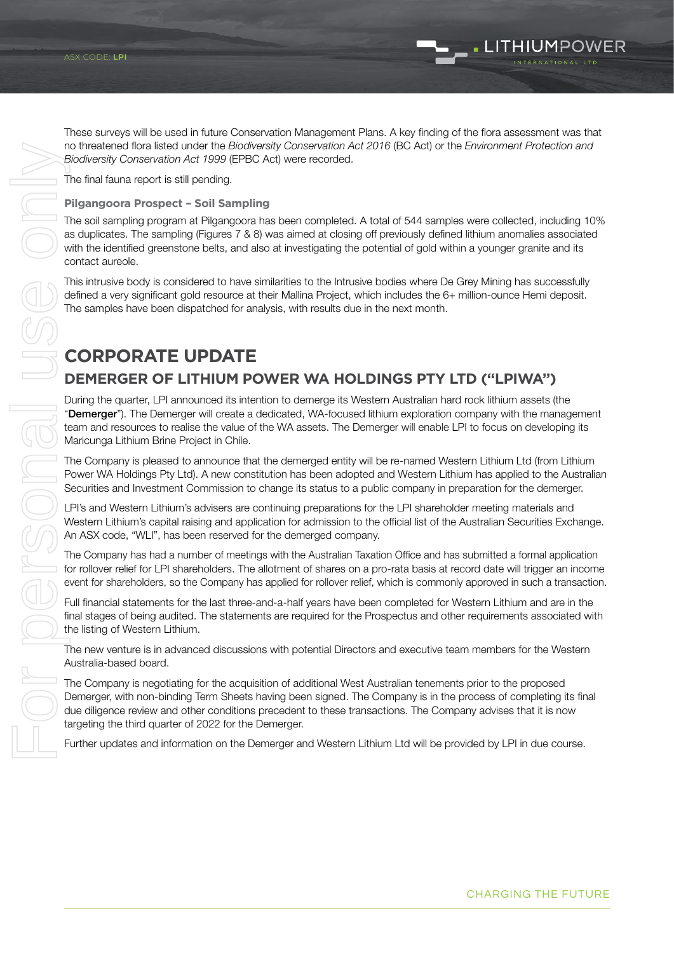These surveys will be used in future Conservation Management Plans. A key finding of the flora assessment was that no threatened flora listed under the *Biodiversity Conservation Act 2016* (BC Act) or the *Environment Protection and Biodiversity Conservation Act 1999* (EPBC Act) were recorded.

The final fauna report is still pending.

ASX RELEASE

#### **Pilgangoora Prospect – Soil Sampling**

The soil sampling program at Pilgangoora has been completed. A total of 544 samples were collected, including 10% as duplicates. The sampling (Figures 7 & 8) was aimed at closing off previously defined lithium anomalies associated with the identified greenstone belts, and also at investigating the potential of gold within a younger granite and its contact aureole.

This intrusive body is considered to have similarities to the Intrusive bodies where De Grey Mining has successfully defined a very significant gold resource at their Mallina Project, which includes the 6+ million-ounce Hemi deposit. The samples have been dispatched for analysis, with results due in the next month.

### **CORPORATE UPDATE**

#### **DEMERGER OF LITHIUM POWER WA HOLDINGS PTY LTD ("LPIWA")**

During the quarter, LPI announced its intention to demerge its Western Australian hard rock lithium assets (the "Demerger"). The Demerger will create a dedicated, WA-focused lithium exploration company with the management team and resources to realise the value of the WA assets. The Demerger will enable LPI to focus on developing its Maricunga Lithium Brine Project in Chile.

The Company is pleased to announce that the demerged entity will be re-named Western Lithium Ltd (from Lithium Power WA Holdings Pty Ltd). A new constitution has been adopted and Western Lithium has applied to the Australian Securities and Investment Commission to change its status to a public company in preparation for the demerger.

LPI's and Western Lithium's advisers are continuing preparations for the LPI shareholder meeting materials and Western Lithium's capital raising and application for admission to the official list of the Australian Securities Exchange. An ASX code, "WLI", has been reserved for the demerged company.

The Company has had a number of meetings with the Australian Taxation Office and has submitted a formal application for rollover relief for LPI shareholders. The allotment of shares on a pro-rata basis at record date will trigger an income event for shareholders, so the Company has applied for rollover relief, which is commonly approved in such a transaction.

Full financial statements for the last three-and-a-half years have been completed for Western Lithium and are in the final stages of being audited. The statements are required for the Prospectus and other requirements associated with the listing of Western Lithium.

The new venture is in advanced discussions with potential Directors and executive team members for the Western Australia-based board.

The Company is negotiating for the acquisition of additional West Australian tenements prior to the proposed Demerger, with non-binding Term Sheets having been signed. The Company is in the process of completing its final due diligence review and other conditions precedent to these transactions. The Company advises that it is now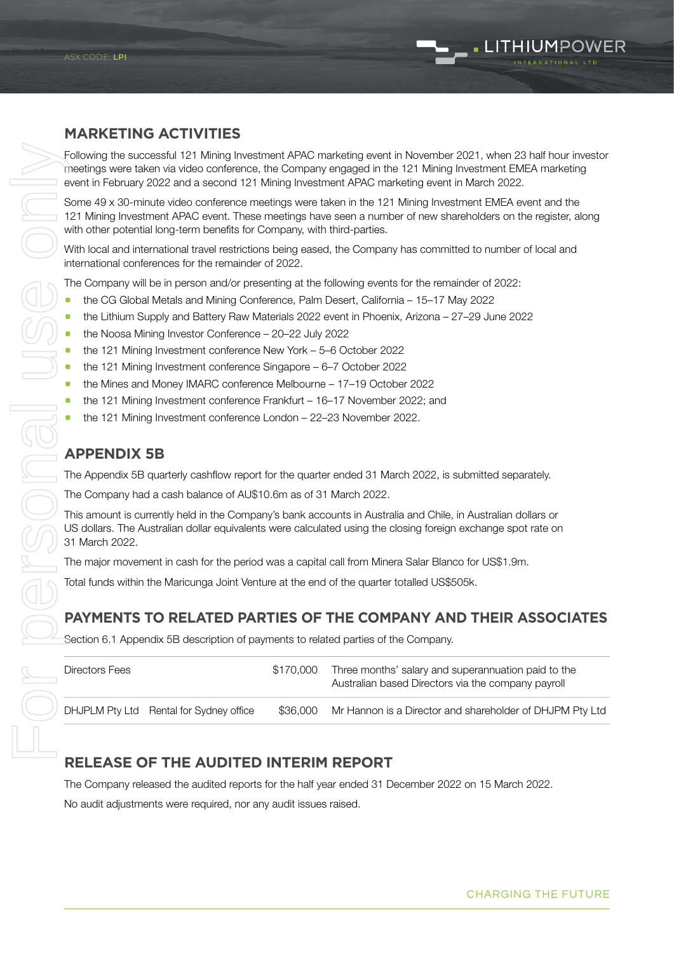### $\_$  . LITHIUMPOWER

#### **MARKETING ACTIVITIES**

ASX RELEASE

Following the successful 121 Mining Investment APAC marketing event in November 2021, when 23 half hour investor meetings were taken via video conference, the Company engaged in the 121 Mining Investment EMEA marketing event in February 2022 and a second 121 Mining Investment APAC marketing event in March 2022.

Some 49 x 30-minute video conference meetings were taken in the 121 Mining Investment EMEA event and the 121 Mining Investment APAC event. These meetings have seen a number of new shareholders on the register, along with other potential long-term benefits for Company, with third-parties.

With local and international travel restrictions being eased, the Company has committed to number of local and international conferences for the remainder of 2022.

The Company will be in person and/or presenting at the following events for the remainder of 2022:

- a the CG Global Metals and Mining Conference, Palm Desert, California 15–17 May 2022
- a the Lithium Supply and Battery Raw Materials 2022 event in Phoenix, Arizona 27–29 June 2022
- a the Noosa Mining Investor Conference 20–22 July 2022
- the 121 Mining Investment conference New York 5–6 October 2022
- a the 121 Mining Investment conference Singapore 6–7 October 2022
- a the Mines and Money IMARC conference Melbourne 17–19 October 2022
- the 121 Mining Investment conference Frankfurt 16–17 November 2022; and
- a the 121 Mining Investment conference London 22–23 November 2022.

#### **APPENDIX 5B**

The Appendix 5B quarterly cashflow report for the quarter ended 31 March 2022, is submitted separately.

The Company had a cash balance of AU\$10.6m as of 31 March 2022.

This amount is currently held in the Company's bank accounts in Australia and Chile, in Australian dollars or US dollars. The Australian dollar equivalents were calculated using the closing foreign exchange spot rate on 31 March 2022.

The major movement in cash for the period was a capital call from Minera Salar Blanco for US\$1.9m.

Total funds within the Maricunga Joint Venture at the end of the quarter totalled US\$505k.

#### **PAYMENTS TO RELATED PARTIES OF THE COMPANY AND THEIR ASSOCIATES**

Section 6.1 Appendix 5B description of payments to related parties of the Company.

| Directors Fees                          | \$170.000 | Three months' salary and superannuation paid to the<br>Australian based Directors via the company payroll |
|-----------------------------------------|-----------|-----------------------------------------------------------------------------------------------------------|
| DHJPLM Pty Ltd Rental for Sydney office | \$36.000  | Mr Hannon is a Director and shareholder of DHJPM Pty Ltd                                                  |

#### **RELEASE OF THE AUDITED INTERIM REPORT**

The Company released the audited reports for the half year ended 31 December 2022 on 15 March 2022.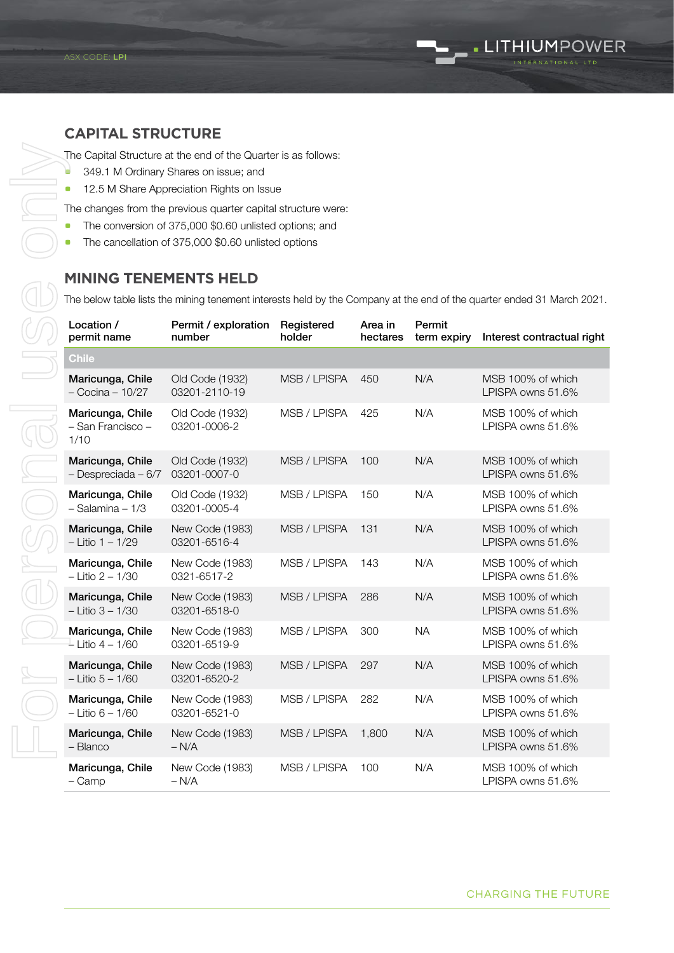#### **CAPITAL STRUCTURE**

ASX RELEASE

- **349.1 M Ordinary Shares on issue; and**
- **12.5 M Share Appreciation Rights on Issue**

The changes from the previous quarter capital structure were:

- The conversion of 375,000 \$0.60 unlisted options; and
- The cancellation of 375,000 \$0.60 unlisted options

#### **MINING TENEMENTS HELD**

The below table lists the mining tenement interests held by the Company at the end of the quarter ended 31 March 2021.

| Location /<br>permit name                     | Permit / exploration<br>number   | Registered<br>holder | Area in<br>hectares | Permit<br>term expiry | Interest contractual right             |
|-----------------------------------------------|----------------------------------|----------------------|---------------------|-----------------------|----------------------------------------|
| <b>Chile</b>                                  |                                  |                      |                     |                       |                                        |
| Maricunga, Chile<br>- Cocina - 10/27          | Old Code (1932)<br>03201-2110-19 | MSB / LPISPA         | 450                 | N/A                   | MSB 100% of which<br>LPISPA owns 51.6% |
| Maricunga, Chile<br>- San Francisco -<br>1/10 | Old Code (1932)<br>03201-0006-2  | MSB / LPISPA         | 425                 | N/A                   | MSB 100% of which<br>LPISPA owns 51.6% |
| Maricunga, Chile<br>- Despreciada - 6/7       | Old Code (1932)<br>03201-0007-0  | MSB / LPISPA         | 100                 | N/A                   | MSB 100% of which<br>LPISPA owns 51.6% |
| Maricunga, Chile<br>$-$ Salamina $-1/3$       | Old Code (1932)<br>03201-0005-4  | MSB / LPISPA         | 150                 | N/A                   | MSB 100% of which<br>LPISPA owns 51.6% |
| Maricunga, Chile<br>$-$ Litio 1 $-$ 1/29      | New Code (1983)<br>03201-6516-4  | MSB / LPISPA         | 131                 | N/A                   | MSB 100% of which<br>LPISPA owns 51.6% |
| Maricunga, Chile<br>$-$ Litio 2 $-$ 1/30      | New Code (1983)<br>0321-6517-2   | MSB / LPISPA         | 143                 | N/A                   | MSB 100% of which<br>LPISPA owns 51.6% |
| Maricunga, Chile<br>$-$ Litio 3 $-$ 1/30      | New Code (1983)<br>03201-6518-0  | MSB / LPISPA         | 286                 | N/A                   | MSB 100% of which<br>LPISPA owns 51.6% |
| Maricunga, Chile<br>$-$ Litio 4 – 1/60        | New Code (1983)<br>03201-6519-9  | MSB / LPISPA         | 300                 | <b>NA</b>             | MSB 100% of which<br>LPISPA owns 51.6% |
| Maricunga, Chile<br>$-$ Litio $5 - 1/60$      | New Code (1983)<br>03201-6520-2  | MSB / LPISPA         | 297                 | N/A                   | MSB 100% of which<br>LPISPA owns 51.6% |
| Maricunga, Chile<br>$-$ Litio 6 $-$ 1/60      | New Code (1983)<br>03201-6521-0  | MSB / LPISPA         | 282                 | N/A                   | MSB 100% of which<br>LPISPA owns 51.6% |
| Maricunga, Chile<br>- Blanco                  | New Code (1983)<br>$- N/A$       | MSB / LPISPA         | 1,800               | N/A                   | MSB 100% of which<br>LPISPA owns 51.6% |
| Maricunga, Chile<br>– Camp                    | New Code (1983)<br>$- N/A$       | MSB / LPISPA         | 100                 | N/A                   | MSB 100% of which<br>LPISPA owns 51.6% |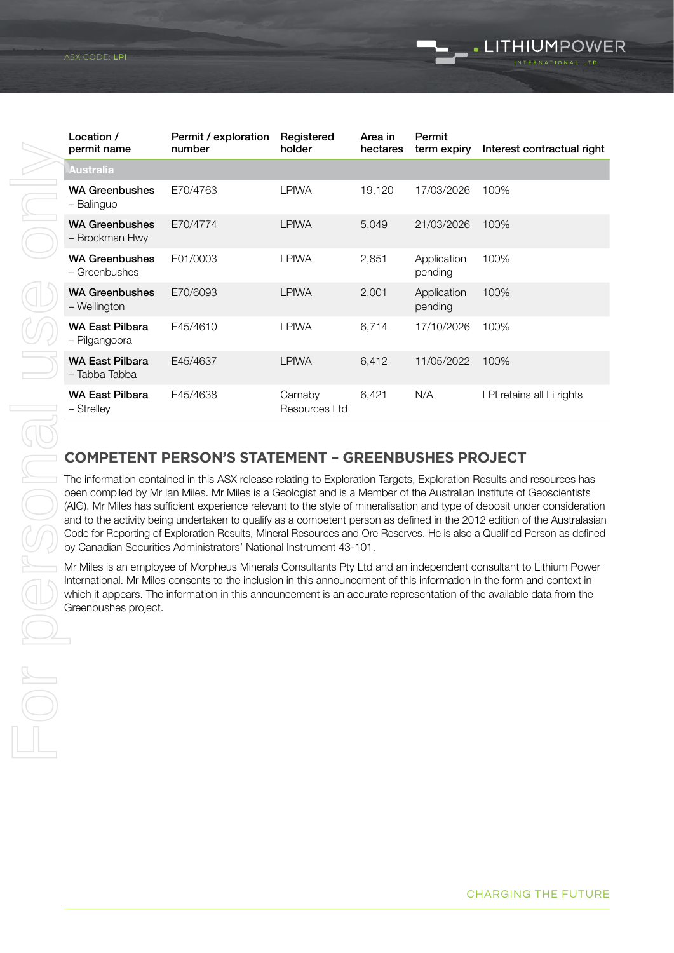|                                                                                                                                                                                                                                                                                                                                                                                         | Location /<br>permit name                                                                                                                                                                                                                                                                                                                                                                                                                                                                                                                                                                                                                                                                             | Permit / exploration<br>number                            | Registered<br>holder     | Area in<br>hectares | Permit<br>term expiry  | Interest contractual right |
|-----------------------------------------------------------------------------------------------------------------------------------------------------------------------------------------------------------------------------------------------------------------------------------------------------------------------------------------------------------------------------------------|-------------------------------------------------------------------------------------------------------------------------------------------------------------------------------------------------------------------------------------------------------------------------------------------------------------------------------------------------------------------------------------------------------------------------------------------------------------------------------------------------------------------------------------------------------------------------------------------------------------------------------------------------------------------------------------------------------|-----------------------------------------------------------|--------------------------|---------------------|------------------------|----------------------------|
|                                                                                                                                                                                                                                                                                                                                                                                         | Australia                                                                                                                                                                                                                                                                                                                                                                                                                                                                                                                                                                                                                                                                                             |                                                           |                          |                     |                        |                            |
|                                                                                                                                                                                                                                                                                                                                                                                         | <b>WA Greenbushes</b><br>- Balingup                                                                                                                                                                                                                                                                                                                                                                                                                                                                                                                                                                                                                                                                   | E70/4763                                                  | <b>LPIWA</b>             | 19,120              | 17/03/2026             | 100%                       |
|                                                                                                                                                                                                                                                                                                                                                                                         | <b>WA Greenbushes</b><br>- Brockman Hwy                                                                                                                                                                                                                                                                                                                                                                                                                                                                                                                                                                                                                                                               | E70/4774                                                  | <b>LPIWA</b>             | 5,049               | 21/03/2026             | 100%                       |
|                                                                                                                                                                                                                                                                                                                                                                                         | <b>WA Greenbushes</b><br>- Greenbushes                                                                                                                                                                                                                                                                                                                                                                                                                                                                                                                                                                                                                                                                | E01/0003                                                  | <b>LPIWA</b>             | 2,851               | Application<br>pending | 100%                       |
|                                                                                                                                                                                                                                                                                                                                                                                         | <b>WA Greenbushes</b><br>- Wellington                                                                                                                                                                                                                                                                                                                                                                                                                                                                                                                                                                                                                                                                 | E70/6093                                                  | <b>LPIWA</b>             | 2,001               | Application<br>pending | 100%                       |
|                                                                                                                                                                                                                                                                                                                                                                                         | <b>WA East Pilbara</b><br>- Pilgangoora                                                                                                                                                                                                                                                                                                                                                                                                                                                                                                                                                                                                                                                               | E45/4610                                                  | <b>LPIWA</b>             | 6,714               | 17/10/2026             | 100%                       |
|                                                                                                                                                                                                                                                                                                                                                                                         | <b>WA East Pilbara</b><br>- Tabba Tabba                                                                                                                                                                                                                                                                                                                                                                                                                                                                                                                                                                                                                                                               | E45/4637                                                  | <b>LPIWA</b>             | 6,412               | 11/05/2022             | 100%                       |
|                                                                                                                                                                                                                                                                                                                                                                                         | <b>WA East Pilbara</b><br>- Strelley                                                                                                                                                                                                                                                                                                                                                                                                                                                                                                                                                                                                                                                                  | E45/4638                                                  | Carnaby<br>Resources Ltd | 6,421               | N/A                    | LPI retains all Li rights  |
|                                                                                                                                                                                                                                                                                                                                                                                         |                                                                                                                                                                                                                                                                                                                                                                                                                                                                                                                                                                                                                                                                                                       |                                                           |                          |                     |                        |                            |
|                                                                                                                                                                                                                                                                                                                                                                                         |                                                                                                                                                                                                                                                                                                                                                                                                                                                                                                                                                                                                                                                                                                       | <b>COMPETENT PERSON'S STATEMENT - GREENBUSHES PROJECT</b> |                          |                     |                        |                            |
|                                                                                                                                                                                                                                                                                                                                                                                         | The information contained in this ASX release relating to Exploration Targets, Exploration Results and resources has<br>been compiled by Mr Ian Miles. Mr Miles is a Geologist and is a Member of the Australian Institute of Geoscientists<br>(AIG). Mr Miles has sufficient experience relevant to the style of mineralisation and type of deposit under consideration<br>and to the activity being undertaken to qualify as a competent person as defined in the 2012 edition of the Australasian<br>Code for Reporting of Exploration Results, Mineral Resources and Ore Reserves. He is also a Qualified Person as defined<br>by Canadian Securities Administrators' National Instrument 43-101. |                                                           |                          |                     |                        |                            |
| Mr Miles is an employee of Morpheus Minerals Consultants Pty Ltd and an independent consultant to Lithium Power<br>International. Mr Miles consents to the inclusion in this announcement of this information in the form and context in<br>which it appears. The information in this announcement is an accurate representation of the available data from the<br>Greenbushes project. |                                                                                                                                                                                                                                                                                                                                                                                                                                                                                                                                                                                                                                                                                                       |                                                           |                          |                     |                        |                            |

#### **COMPETENT PERSON'S STATEMENT – GREENBUSHES PROJECT**

Mr Miles is an employee of Morpheus Minerals Consultants Pty Ltd and an independent consultant to Lithium Power International. Mr Miles consents to the inclusion in this announcement of this information in the form and context in which it appears. The information in this announcement is an accurate representation of the available data from the Greenbushes project.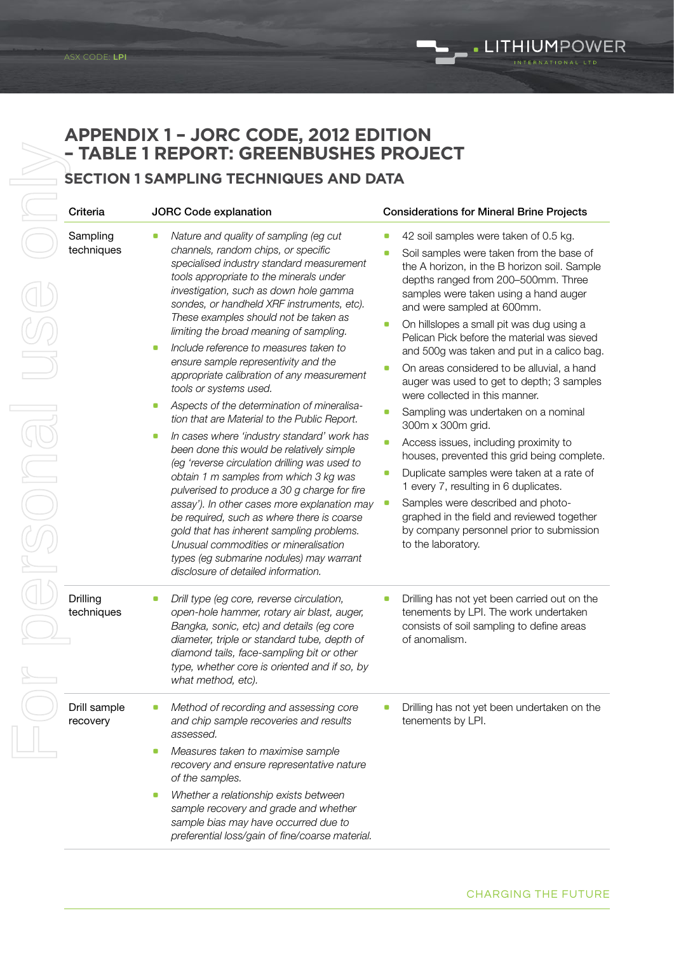#### **APPENDIX 1 – JORC CODE, 2012 EDITION – TABLE 1 REPORT: GREENBUSHES PROJECT**

#### **SECTION 1 SAMPLING TECHNIQUES AND DATA**

| Criteria                 | <b>JORC Code explanation</b>                                                                                                                                                                                                                                                                                                                                                                                                                                                                                                                                                                                                                                                                                                                                                                                                                                                                                                                                                                                                                                                                                                                              | <b>Considerations for Mineral Brine Projects</b>                                                                                                                                                                                                                                                                                                                                                                                                                                                                                                                                                                                                                                                                                                                                                                                                                                                                                                                             |
|--------------------------|-----------------------------------------------------------------------------------------------------------------------------------------------------------------------------------------------------------------------------------------------------------------------------------------------------------------------------------------------------------------------------------------------------------------------------------------------------------------------------------------------------------------------------------------------------------------------------------------------------------------------------------------------------------------------------------------------------------------------------------------------------------------------------------------------------------------------------------------------------------------------------------------------------------------------------------------------------------------------------------------------------------------------------------------------------------------------------------------------------------------------------------------------------------|------------------------------------------------------------------------------------------------------------------------------------------------------------------------------------------------------------------------------------------------------------------------------------------------------------------------------------------------------------------------------------------------------------------------------------------------------------------------------------------------------------------------------------------------------------------------------------------------------------------------------------------------------------------------------------------------------------------------------------------------------------------------------------------------------------------------------------------------------------------------------------------------------------------------------------------------------------------------------|
| Sampling<br>techniques   | Nature and quality of sampling (eg cut<br>O<br>channels, random chips, or specific<br>specialised industry standard measurement<br>tools appropriate to the minerals under<br>investigation, such as down hole gamma<br>sondes, or handheld XRF instruments, etc).<br>These examples should not be taken as<br>limiting the broad meaning of sampling.<br>Include reference to measures taken to<br>$\blacksquare$<br>ensure sample representivity and the<br>appropriate calibration of any measurement<br>tools or systems used.<br>Aspects of the determination of mineralisa-<br>O<br>tion that are Material to the Public Report.<br>In cases where 'industry standard' work has<br>O<br>been done this would be relatively simple<br>(eg 'reverse circulation drilling was used to<br>obtain 1 m samples from which 3 kg was<br>pulverised to produce a 30 g charge for fire<br>assay'). In other cases more explanation may<br>be required, such as where there is coarse<br>gold that has inherent sampling problems.<br>Unusual commodities or mineralisation<br>types (eg submarine nodules) may warrant<br>disclosure of detailed information. | 42 soil samples were taken of 0.5 kg.<br>۰<br>Soil samples were taken from the base of<br>۰<br>the A horizon, in the B horizon soil. Sample<br>depths ranged from 200-500mm. Three<br>samples were taken using a hand auger<br>and were sampled at 600mm.<br>On hillslopes a small pit was dug using a<br>0<br>Pelican Pick before the material was sieved<br>and 500g was taken and put in a calico bag.<br>On areas considered to be alluvial, a hand<br>O<br>auger was used to get to depth; 3 samples<br>were collected in this manner.<br>Sampling was undertaken on a nominal<br>O<br>300m x 300m grid.<br>Access issues, including proximity to<br>$\blacksquare$<br>houses, prevented this grid being complete.<br>Duplicate samples were taken at a rate of<br>O<br>1 every 7, resulting in 6 duplicates.<br>Samples were described and photo-<br>O<br>graphed in the field and reviewed together<br>by company personnel prior to submission<br>to the laboratory. |
| Drilling<br>techniques   | Drill type (eg core, reverse circulation,<br>O<br>open-hole hammer, rotary air blast, auger,<br>Bangka, sonic, etc) and details (eg core<br>diameter, triple or standard tube, depth of<br>diamond tails, face-sampling bit or other<br>type, whether core is oriented and if so, by<br>what method, etc).                                                                                                                                                                                                                                                                                                                                                                                                                                                                                                                                                                                                                                                                                                                                                                                                                                                | Drilling has not yet been carried out on the<br>O<br>tenements by LPI. The work undertaken<br>consists of soil sampling to define areas<br>of anomalism.                                                                                                                                                                                                                                                                                                                                                                                                                                                                                                                                                                                                                                                                                                                                                                                                                     |
| Drill sample<br>recovery | Method of recording and assessing core<br>о<br>and chip sample recoveries and results<br>assessed.<br>Measures taken to maximise sample<br>0<br>recovery and ensure representative nature<br>of the samples.<br>Whether a relationship exists between<br>O<br>sample recovery and grade and whether<br>sample bias may have occurred due to<br>preferential loss/gain of fine/coarse material.                                                                                                                                                                                                                                                                                                                                                                                                                                                                                                                                                                                                                                                                                                                                                            | Drilling has not yet been undertaken on the<br>o<br>tenements by LPI.                                                                                                                                                                                                                                                                                                                                                                                                                                                                                                                                                                                                                                                                                                                                                                                                                                                                                                        |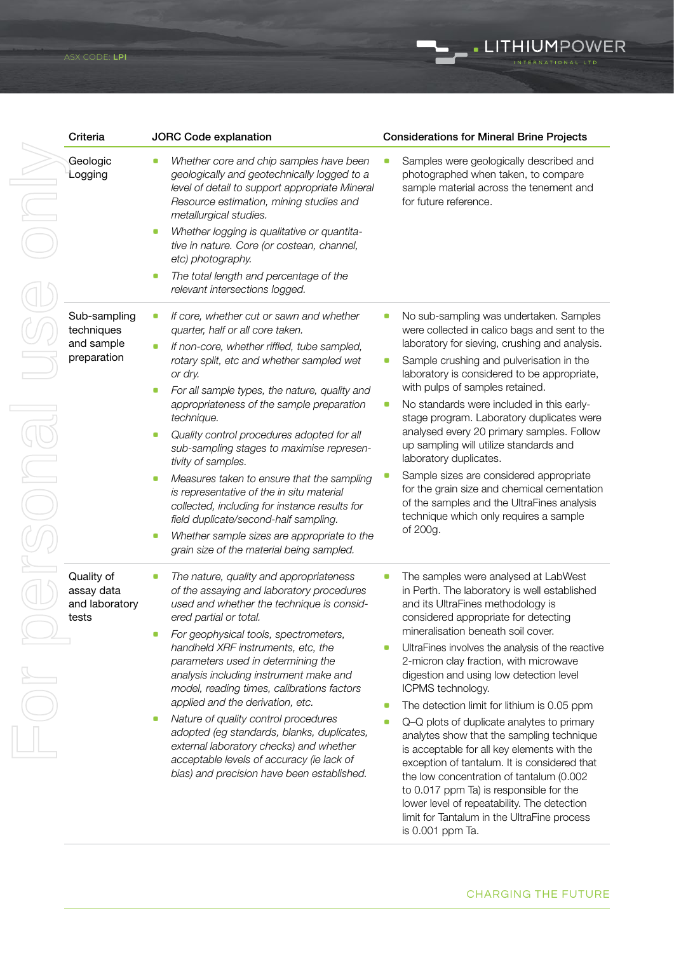

CHARGING THE FUTURE

. LITHIUMPOWER

lower level of repeatability. The detection limit for Tantalum in the UltraFine process

is 0.001 ppm Ta.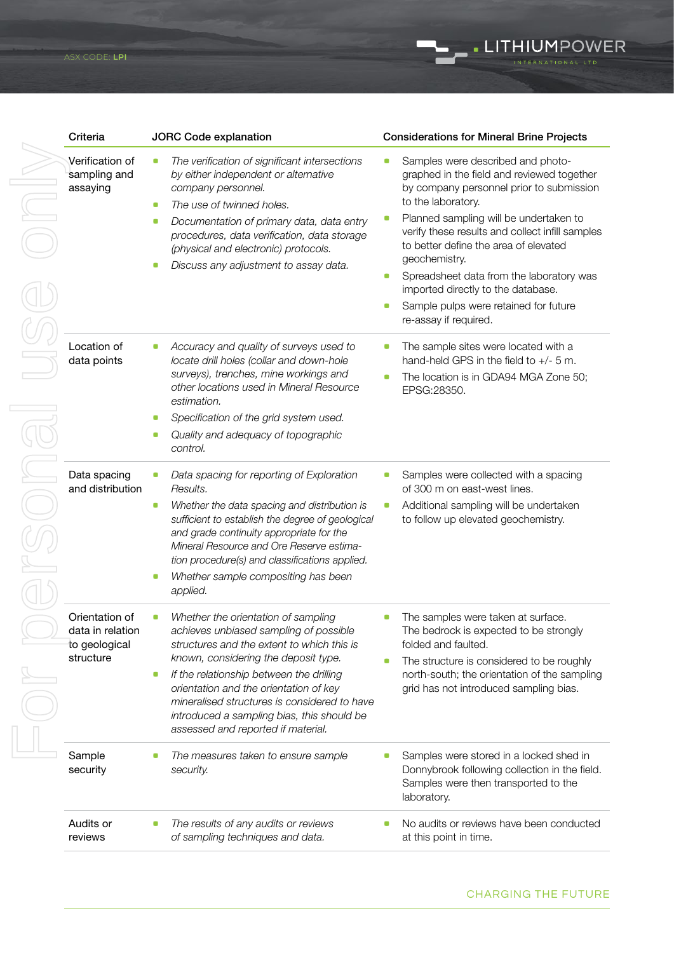| Criteria                                                         | <b>JORC Code explanation</b>                                                                                                                                                                                                                                                                                                                                                                       | <b>Considerations for Mineral Brine Projects</b>                                                                                                                                                                                                                                                                                                                                                                                                                        |
|------------------------------------------------------------------|----------------------------------------------------------------------------------------------------------------------------------------------------------------------------------------------------------------------------------------------------------------------------------------------------------------------------------------------------------------------------------------------------|-------------------------------------------------------------------------------------------------------------------------------------------------------------------------------------------------------------------------------------------------------------------------------------------------------------------------------------------------------------------------------------------------------------------------------------------------------------------------|
| Verification of<br>sampling and<br>assaying                      | The verification of significant intersections<br>0<br>by either independent or alternative<br>company personnel.<br>The use of twinned holes.<br>0<br>Documentation of primary data, data entry<br>0<br>procedures, data verification, data storage<br>(physical and electronic) protocols.<br>Discuss any adjustment to assay data.<br>o                                                          | Samples were described and photo-<br>graphed in the field and reviewed together<br>by company personnel prior to submission<br>to the laboratory.<br>Planned sampling will be undertaken to<br>verify these results and collect infill samples<br>to better define the area of elevated<br>geochemistry.<br>Spreadsheet data from the laboratory was<br>O)<br>imported directly to the database.<br>Sample pulps were retained for future<br>O<br>re-assay if required. |
| Location of<br>data points                                       | Accuracy and quality of surveys used to<br>locate drill holes (collar and down-hole<br>surveys), trenches, mine workings and<br>other locations used in Mineral Resource<br>estimation.<br>Specification of the grid system used.<br>Quality and adequacy of topographic<br>control.                                                                                                               | The sample sites were located with a<br>O<br>hand-held GPS in the field to $+/-$ 5 m.<br>The location is in GDA94 MGA Zone 50;<br>EPSG:28350.                                                                                                                                                                                                                                                                                                                           |
| Data spacing<br>and distribution                                 | Data spacing for reporting of Exploration<br>Results.<br>Whether the data spacing and distribution is<br>$\blacksquare$<br>sufficient to establish the degree of geological<br>and grade continuity appropriate for the<br>Mineral Resource and Ore Reserve estima-<br>tion procedure(s) and classifications applied.<br>Whether sample compositing has been<br>applied.                           | Samples were collected with a spacing<br>of 300 m on east-west lines.<br>Additional sampling will be undertaken<br>$\blacksquare$<br>to follow up elevated geochemistry.                                                                                                                                                                                                                                                                                                |
| Orientation of<br>data in relation<br>to geological<br>structure | Whether the orientation of sampling<br>achieves unbiased sampling of possible<br>structures and the extent to which this is<br>known, considering the deposit type.<br>If the relationship between the drilling<br>O<br>orientation and the orientation of key<br>mineralised structures is considered to have<br>introduced a sampling bias, this should be<br>assessed and reported if material. | The samples were taken at surface.<br>The bedrock is expected to be strongly<br>folded and faulted.<br>The structure is considered to be roughly<br>north-south; the orientation of the sampling<br>grid has not introduced sampling bias.                                                                                                                                                                                                                              |
| Sample<br>security                                               | The measures taken to ensure sample<br>۰<br>security.                                                                                                                                                                                                                                                                                                                                              | Samples were stored in a locked shed in<br>Donnybrook following collection in the field.<br>Samples were then transported to the<br>laboratory.                                                                                                                                                                                                                                                                                                                         |
| Audits or                                                        | The results of any audits or reviews                                                                                                                                                                                                                                                                                                                                                               | No audits or reviews have been conducted                                                                                                                                                                                                                                                                                                                                                                                                                                |

*of sampling techniques and data.*

reviews

LITHIUMPOWER

at this point in time.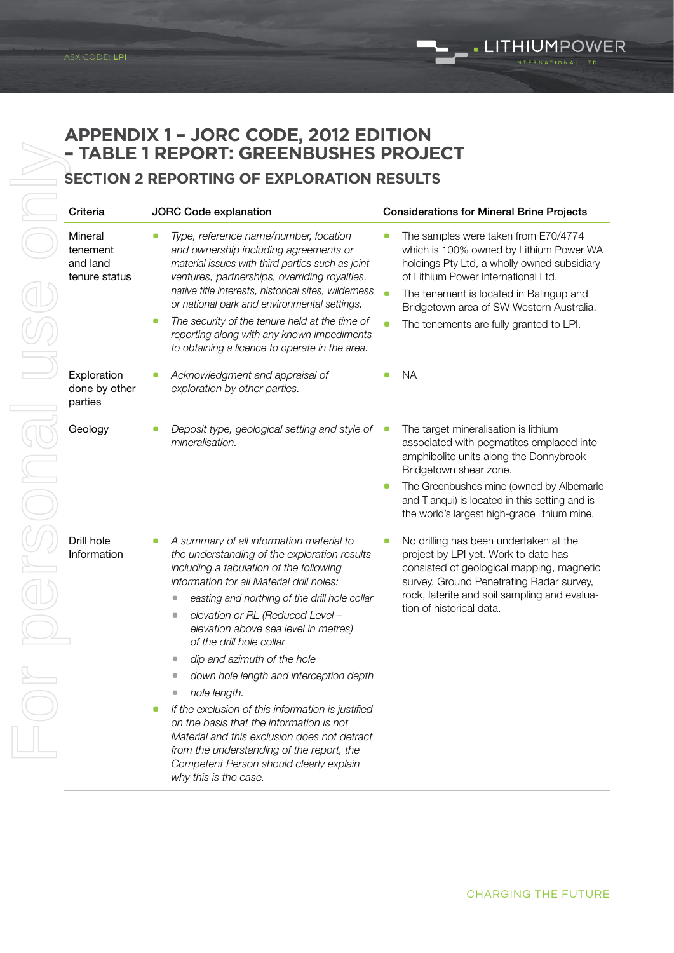#### **APPENDIX 1 – JORC CODE, 2012 EDITION – TABLE 1 REPORT: GREENBUSHES PROJECT**

| Criteria                                         | <b>JORC Code explanation</b>                                                                                                                                                                                                                                                                                                                                                                                                                            | <b>Considerations for Mineral Brine Projects</b>                                                                                                                                                                                                                                                                                       |
|--------------------------------------------------|---------------------------------------------------------------------------------------------------------------------------------------------------------------------------------------------------------------------------------------------------------------------------------------------------------------------------------------------------------------------------------------------------------------------------------------------------------|----------------------------------------------------------------------------------------------------------------------------------------------------------------------------------------------------------------------------------------------------------------------------------------------------------------------------------------|
| Mineral<br>tenement<br>and land<br>tenure status | Type, reference name/number, location<br>۰<br>and ownership including agreements or<br>material issues with third parties such as joint<br>ventures, partnerships, overriding royalties,<br>native title interests, historical sites, wilderness<br>or national park and environmental settings.<br>The security of the tenure held at the time of<br>0<br>reporting along with any known impediments<br>to obtaining a licence to operate in the area. | The samples were taken from E70/4774<br>which is 100% owned by Lithium Power WA<br>holdings Pty Ltd, a wholly owned subsidiary<br>of Lithium Power International Ltd.<br>$\bullet$<br>The tenement is located in Balingup and<br>Bridgetown area of SW Western Australia.<br>The tenements are fully granted to LPI.<br>$\blacksquare$ |
| Exploration<br>done by other<br>parties          | Acknowledgment and appraisal of<br>O<br>exploration by other parties.                                                                                                                                                                                                                                                                                                                                                                                   | <b>NA</b><br>O                                                                                                                                                                                                                                                                                                                         |
| Geology                                          | Deposit type, geological setting and style of<br>O<br>mineralisation.                                                                                                                                                                                                                                                                                                                                                                                   | The target mineralisation is lithium<br>O<br>associated with pegmatites emplaced into<br>amphibolite units along the Donnybrook<br>Bridgetown shear zone.<br>The Greenbushes mine (owned by Albemarle<br>0<br>and Tianqui) is located in this setting and is<br>the world's largest high-grade lithium mine.                           |
| Drill hole<br>Information                        | A summary of all information material to<br>the understanding of the exploration results<br>including a tabulation of the following<br>information for all Material drill holes:                                                                                                                                                                                                                                                                        | No drilling has been undertaken at the<br>o<br>project by LPI yet. Work to date has<br>consisted of geological mapping, magnetic<br>survey, Ground Penetrating Radar survey,                                                                                                                                                           |
|                                                  | easting and northing of the drill hole collar<br>$\Box$                                                                                                                                                                                                                                                                                                                                                                                                 | rock, laterite and soil sampling and evalua-                                                                                                                                                                                                                                                                                           |
|                                                  | elevation or RL (Reduced Level -<br>$\Box$<br>elevation above sea level in metres)<br>of the drill hole collar                                                                                                                                                                                                                                                                                                                                          | tion of historical data.                                                                                                                                                                                                                                                                                                               |
|                                                  | dip and azimuth of the hole                                                                                                                                                                                                                                                                                                                                                                                                                             |                                                                                                                                                                                                                                                                                                                                        |
|                                                  | down hole length and interception depth                                                                                                                                                                                                                                                                                                                                                                                                                 |                                                                                                                                                                                                                                                                                                                                        |
|                                                  | hole length.<br>O                                                                                                                                                                                                                                                                                                                                                                                                                                       |                                                                                                                                                                                                                                                                                                                                        |
|                                                  | If the exclusion of this information is justified<br>O<br>on the basis that the information is not<br>Material and this exclusion does not detract<br>from the understanding of the report, the<br>Competent Person should clearly explain<br>why this is the case.                                                                                                                                                                                     |                                                                                                                                                                                                                                                                                                                                        |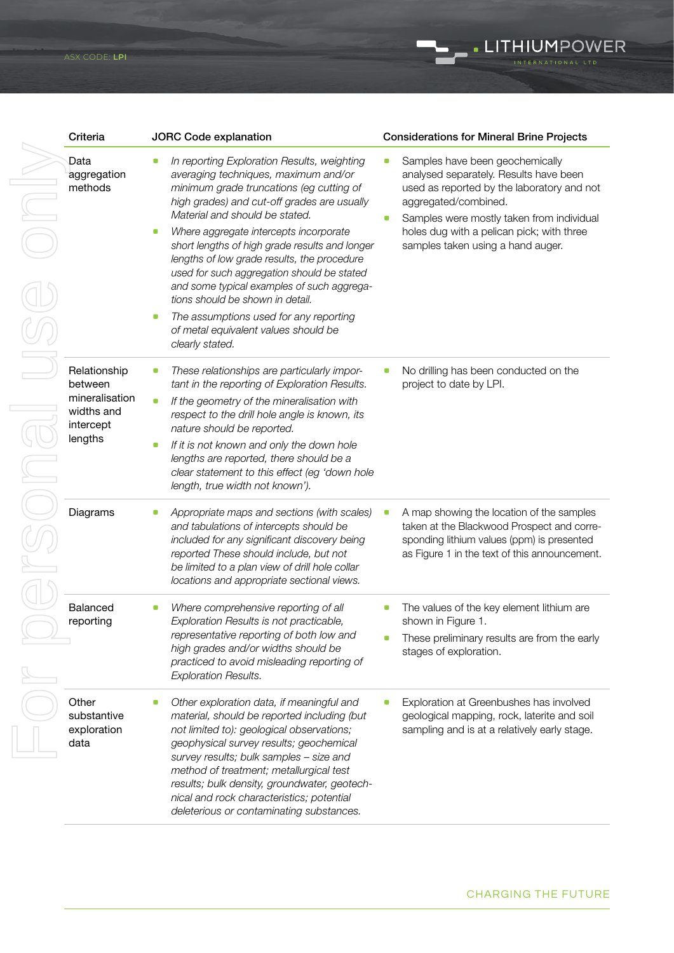| Criteria                                                                        | <b>JORC Code explanation</b>                                                                                                                                                                                                                                                                                                                                                                                                                                                                                                                                                                                                 | <b>Considerations for Mineral Brine Projects</b>                                                                                                                                                                                                                               |
|---------------------------------------------------------------------------------|------------------------------------------------------------------------------------------------------------------------------------------------------------------------------------------------------------------------------------------------------------------------------------------------------------------------------------------------------------------------------------------------------------------------------------------------------------------------------------------------------------------------------------------------------------------------------------------------------------------------------|--------------------------------------------------------------------------------------------------------------------------------------------------------------------------------------------------------------------------------------------------------------------------------|
| Data<br>aggregation<br>methods                                                  | In reporting Exploration Results, weighting<br>0<br>averaging techniques, maximum and/or<br>minimum grade truncations (eg cutting of<br>high grades) and cut-off grades are usually<br>Material and should be stated.<br>Where aggregate intercepts incorporate<br>O<br>short lengths of high grade results and longer<br>lengths of low grade results, the procedure<br>used for such aggregation should be stated<br>and some typical examples of such aggrega-<br>tions should be shown in detail.<br>The assumptions used for any reporting<br>$\blacksquare$<br>of metal equivalent values should be<br>clearly stated. | Samples have been geochemically<br>analysed separately. Results have been<br>used as reported by the laboratory and not<br>aggregated/combined.<br>Samples were mostly taken from individual<br>holes dug with a pelican pick; with three<br>samples taken using a hand auger. |
| Relationship<br>between<br>mineralisation<br>widths and<br>intercept<br>lengths | These relationships are particularly impor-<br>۰<br>tant in the reporting of Exploration Results.<br>If the geometry of the mineralisation with<br>$\blacksquare$<br>respect to the drill hole angle is known, its<br>nature should be reported.<br>If it is not known and only the down hole<br>o<br>lengths are reported, there should be a<br>clear statement to this effect (eg 'down hole<br>length, true width not known').                                                                                                                                                                                            | No drilling has been conducted on the<br>project to date by LPI.                                                                                                                                                                                                               |
| Diagrams                                                                        | Appropriate maps and sections (with scales)<br>and tabulations of intercepts should be<br>included for any significant discovery being<br>reported These should include, but not<br>be limited to a plan view of drill hole collar<br>locations and appropriate sectional views.                                                                                                                                                                                                                                                                                                                                             | A map showing the location of the samples<br>taken at the Blackwood Prospect and corre-<br>sponding lithium values (ppm) is presented<br>as Figure 1 in the text of this announcement.                                                                                         |
| Balanced<br>reporting                                                           | Where comprehensive reporting of all<br>Exploration Results is not practicable,<br>representative reporting of both low and<br>high grades and/or widths should be<br>practiced to avoid misleading reporting of<br><b>Exploration Results.</b>                                                                                                                                                                                                                                                                                                                                                                              | The values of the key element lithium are<br>shown in Figure 1.<br>These preliminary results are from the early<br>stages of exploration.                                                                                                                                      |
| Other<br>substantive<br>exploration<br>data                                     | Other exploration data, if meaningful and<br>material, should be reported including (but<br>not limited to): geological observations;<br>geophysical survey results; geochemical<br>survey results; bulk samples - size and<br>method of treatment; metallurgical test<br>results; bulk density, groundwater, geotech-<br>nical and rock characteristics; potential<br>deleterious or contaminating substances.                                                                                                                                                                                                              | Exploration at Greenbushes has involved<br>geological mapping, rock, laterite and soil<br>sampling and is at a relatively early stage.                                                                                                                                         |